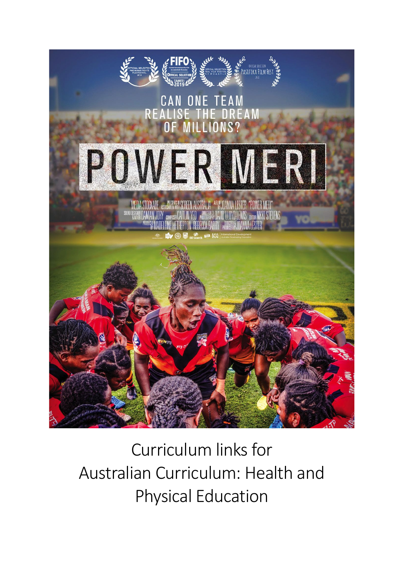

## Curriculum links for Australian Curriculum: Health and Physical Education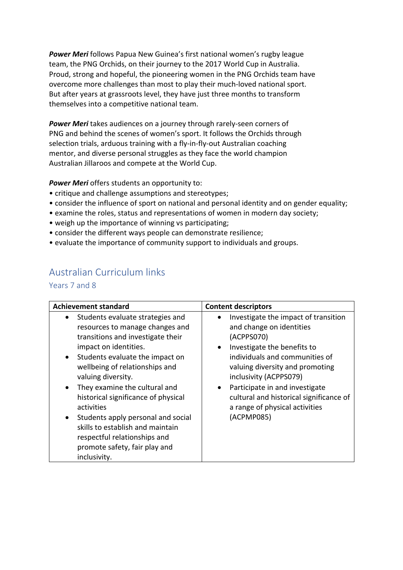*Power Meri* follows Papua New Guinea's first national women's rugby league team, the PNG Orchids, on their journey to the 2017 World Cup in Australia. Proud, strong and hopeful, the pioneering women in the PNG Orchids team have overcome more challenges than most to play their much-loved national sport. But after years at grassroots level, they have just three months to transform themselves into a competitive national team.

*Power Meri* takes audiences on a journey through rarely-seen corners of PNG and behind the scenes of women's sport. It follows the Orchids through selection trials, arduous training with a fly-in-fly-out Australian coaching mentor, and diverse personal struggles as they face the world champion Australian Jillaroos and compete at the World Cup.

*Power Meri* offers students an opportunity to:

- critique and challenge assumptions and stereotypes;
- consider the influence of sport on national and personal identity and on gender equality;
- examine the roles, status and representations of women in modern day society;
- weigh up the importance of winning vs participating;
- consider the different ways people can demonstrate resilience;
- evaluate the importance of community support to individuals and groups.

## Australian Curriculum links

## Years 7 and 8

| <b>Achievement standard</b>                                                                                                                                                                                                                                                                                                                                                                                                                                                                                                       | <b>Content descriptors</b>                                                                                                                                                                                                                                                                                                                                                       |
|-----------------------------------------------------------------------------------------------------------------------------------------------------------------------------------------------------------------------------------------------------------------------------------------------------------------------------------------------------------------------------------------------------------------------------------------------------------------------------------------------------------------------------------|----------------------------------------------------------------------------------------------------------------------------------------------------------------------------------------------------------------------------------------------------------------------------------------------------------------------------------------------------------------------------------|
| Students evaluate strategies and<br>$\bullet$<br>resources to manage changes and<br>transitions and investigate their<br>impact on identities.<br>Students evaluate the impact on<br>$\bullet$<br>wellbeing of relationships and<br>valuing diversity.<br>They examine the cultural and<br>$\bullet$<br>historical significance of physical<br>activities<br>Students apply personal and social<br>$\bullet$<br>skills to establish and maintain<br>respectful relationships and<br>promote safety, fair play and<br>inclusivity. | Investigate the impact of transition<br>$\bullet$<br>and change on identities<br>(ACPPS070)<br>Investigate the benefits to<br>$\bullet$<br>individuals and communities of<br>valuing diversity and promoting<br>inclusivity (ACPPS079)<br>Participate in and investigate<br>$\bullet$<br>cultural and historical significance of<br>a range of physical activities<br>(ACPMP085) |